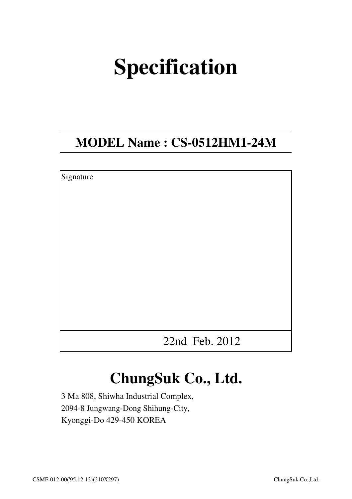# **Specification**

## **MODEL Name : CS-0512HM1-24M**

| Signature |                |  |
|-----------|----------------|--|
|           |                |  |
|           |                |  |
|           |                |  |
|           |                |  |
|           |                |  |
|           |                |  |
|           |                |  |
|           |                |  |
|           |                |  |
|           | 22nd Feb. 2012 |  |

# **ChungSuk Co., Ltd.**

3 Ma 808, Shiwha Industrial Complex, 2094-8 Jungwang-Dong Shihung-City, Kyonggi-Do 429-450 KOREA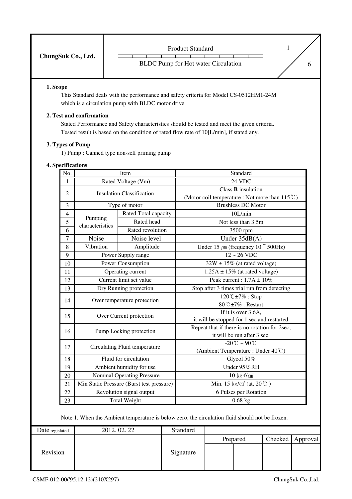| ChungSuk Co., Ltd. | <b>Product Standard</b>                    |  |
|--------------------|--------------------------------------------|--|
|                    | <b>BLDC</b> Pump for Hot water Circulation |  |

#### **1. Scope**

This Standard deals with the performance and safety criteria for Model CS-0512HM1-24M which is a circulation pump with BLDC motor drive.

#### **2. Test and confirmation**

Stated Performance and Safety characteristics should be tested and meet the given criteria. Tested result is based on the condition of rated flow rate of 10[L/min], if stated any.

#### **3. Types of Pump**

1) Pump : Canned type non-self priming pump

#### **4. Specifications**

| No.            | Item                              |                                           | Standard                                                 |  |  |
|----------------|-----------------------------------|-------------------------------------------|----------------------------------------------------------|--|--|
| 1              |                                   | Rated Voltage (Vm)                        | $24 \overline{VDC}$                                      |  |  |
| $\overline{2}$ | <b>Insulation Classification</b>  |                                           | $Class B$ insulation                                     |  |  |
|                |                                   |                                           | (Motor coil temperature : Not more than $115^{\circ}$ C) |  |  |
| 3              |                                   | Type of motor                             | <b>Brushless DC Motor</b>                                |  |  |
| 4              | Pumping                           | Rated Total capacity                      | 10L/min                                                  |  |  |
| 5              | characteristics                   | Rated head                                | Not less than 3.5m                                       |  |  |
| 6              |                                   | Rated revolution                          | 3500 rpm                                                 |  |  |
| $\overline{7}$ | Noise                             | Noise level                               | Under $35dB(A)$                                          |  |  |
| 8              | Vibration                         | Amplitude                                 | Under 15 $\mu$ m (frequency 10 $\degree$ 500Hz)          |  |  |
| 9              |                                   | Power Supply range                        | $12 - 26$ VDC                                            |  |  |
| 10             |                                   | Power Consumption                         | $32W \pm 15\%$ (at rated voltage)                        |  |  |
| 11             |                                   | Operating current                         | $1.25A \pm 15\%$ (at rated voltage)                      |  |  |
| 12             |                                   | Current limit set value                   | Peak current: $1.7A \pm 10\%$                            |  |  |
| 13             |                                   | Dry Running protection                    | Stop after 3 times trial run from detecting              |  |  |
|                | Over temperature protection<br>14 |                                           | $120^{\circ}$ C ±7% : Stop                               |  |  |
|                |                                   |                                           | 80°C±7% : Restart                                        |  |  |
| 15             | Over Current protection           |                                           | If it is over 3.6A.                                      |  |  |
|                |                                   |                                           | it will be stopped for 1 sec and restarted               |  |  |
| 16             |                                   | Pump Locking protection                   | Repeat that if there is no rotation for 2sec,            |  |  |
|                |                                   |                                           | it will be run after 3 sec.                              |  |  |
| 17             |                                   | Circulating Fluid temperature             | $-20^{\circ}C - 90^{\circ}C$                             |  |  |
|                |                                   |                                           | (Ambient Temperature: Under 40°C)                        |  |  |
| 18             |                                   | Fluid for circulation                     | Glycol 50%                                               |  |  |
| 19             |                                   | Ambient humidity for use                  | Under 95%RH                                              |  |  |
| 20             |                                   | <b>Nominal Operating Pressure</b>         | $10 \text{ kg} \cdot \text{f/cm}^2$                      |  |  |
| 21             |                                   | Min Static Pressure (Burst test pressure) | Min. 15 kg/cm <sup>2</sup> (at, $20^{\circ}$ C)          |  |  |
| 22             |                                   | Revolution signal output                  | 6 Pulses per Rotation                                    |  |  |
| 23             |                                   | <b>Total Weight</b>                       | $0.68$ kg                                                |  |  |

Note 1. When the Ambient temperature is below zero, the circulation fluid should not be frozen.

| Date regislated | 2012.02.22 | <b>Standard</b> |          |         |          |
|-----------------|------------|-----------------|----------|---------|----------|
|                 |            |                 | Prepared | Checked | Approval |
| Revision        |            | Signature       |          |         |          |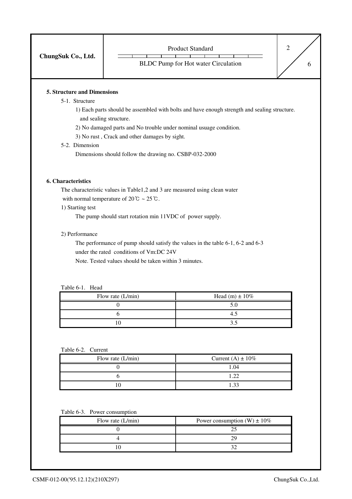| ChungSuk Co., Ltd. | <b>Product Standard</b>                    |  |
|--------------------|--------------------------------------------|--|
|                    | <b>BLDC</b> Pump for Hot water Circulation |  |

#### **5. Structure and Dimensions**

#### 5-1. Structure

1) Each parts should be assembled with bolts and have enough strength and sealing structure. and sealing structure.

2) No damaged parts and No trouble under nominal usuage condition.

3) No rust , Crack and other damages by sight.

#### 5-2. Dimension

Dimensions should follow the drawing no. CSBP-032-2000

#### **6. Characteristics**

The characteristic values in Table1,2 and 3 are measured using clean water with normal temperature of  $20^{\circ}\text{C} \sim 25^{\circ}\text{C}$ .

1) Starting test

The pump should start rotation min 11VDC of power supply.

#### 2) Performance

The performance of pump should satisfy the values in the table 6-1, 6-2 and 6-3 under the rated conditions of Vm:DC 24V Note. Tested values should be taken within 3 minutes.

#### Table 6-1. Head

| Flow rate $(L/min)$ | Head (m) $\pm 10\%$ |
|---------------------|---------------------|
|                     |                     |
|                     |                     |
|                     |                     |

#### Table 6-2. Current

| Flow rate $(L/min)$ | Current (A) $\pm$ 10% |
|---------------------|-----------------------|
|                     | 1.04                  |
|                     | ່າາ                   |
|                     |                       |

#### Table 6-3. Power consumption

| Flow rate $(L/min)$ | Power consumption (W) $\pm 10\%$ |
|---------------------|----------------------------------|
|                     |                                  |
|                     |                                  |
|                     |                                  |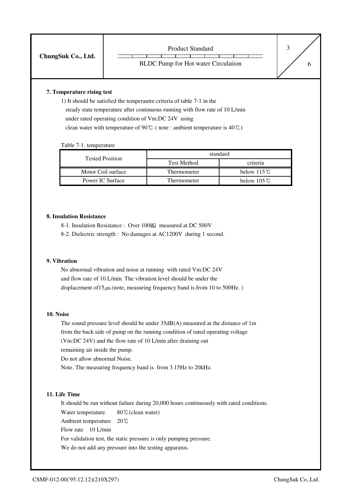|                    | <b>Product Standard</b>                    |  |
|--------------------|--------------------------------------------|--|
| ChungSuk Co., Ltd. | <b>BLDC</b> Pump for Hot water Circulation |  |

#### **7. Temperature rising test**

1) It should be satisfied the temperautre criteria of table 7-1 in the steady state temperature after continuous running with flow rate of 10 L/min under rated operating condition of Vm:DC 24V using clean water with temperature of 90℃ ( note : ambient temperature is 40℃)

Table 7-1. temperature

| <b>Tested Position</b> | standard    |                       |  |  |
|------------------------|-------------|-----------------------|--|--|
|                        | Test Method | criteria              |  |  |
| Motor Coil surface     | Thermometer | below $115^{\circ}$ C |  |  |
| Power IC Surface       | Thermometer | below $105^{\circ}$ C |  |  |

#### **8. Insulation Resistance**

- 8-1. Insulation Resistance : Over 100MQ measured at DC 500V
- 8-2. Dielectric strength : No damages at AC1200V during 1 second.

#### **9. Vibration**

No abnormal vibration and noise at running with rated Vm:DC 24V and flow rate of 10 L/min. The vibration level should be under the displacement of  $15\mu$ m.(note, measuring frequency band is from 10 to 500Hz.)

#### **10. Noise**

The sound pressure level should be under 35dB(A) measured at the distance of 1m from the back side of pump on the running condition of rated operating voltage (Vm:DC 24V) and the flow rate of 10 L/min after draining out

remaining air inside the pump.

Do not allow abnormal Noise.

Note. The measuring frequency band is from 3.15Hz to 20kHz.

#### **11. Life Time**

It should be run without failure during 20,000 hours continuously with rated conditions. Water temperature 80℃(clean water) Ambient temperature 20℃ Flow rate 10 L/min For validation test, the static pressure is only pumping pressure. We do not add any pressure into the testing apparatus.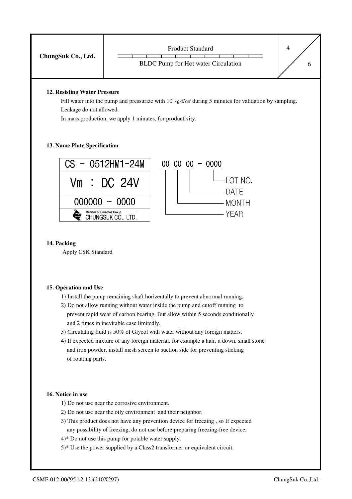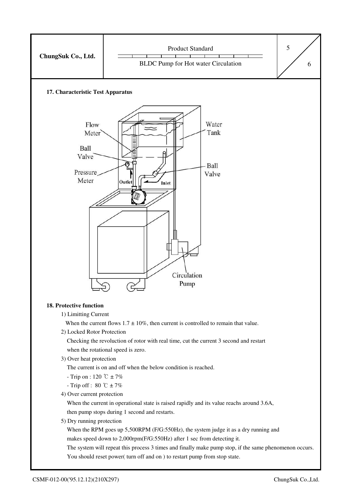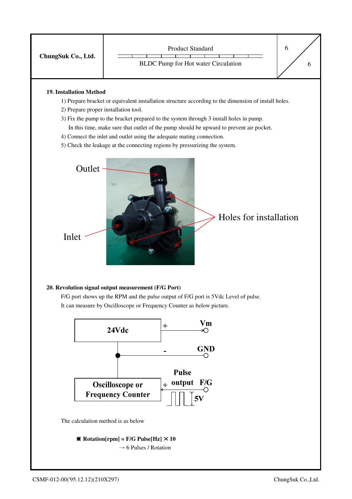

#### **19. Installation Method**

- 1) Prepare bracket or equivalent installation structure according to the dimension of install holes.
- 2) Prepare proper installation tool.
- 3) Fix the pump to the bracket prepared to the system through 3 install holes in pump.
	- In this time, make sure that outlet of the pump should be upward to prevent air pocket.
- 4) Connect the inlet and outlet using the adequate mating connection.
- 5) Check the leakage at the connecting regions by pressurizing the system.



#### **20. Revolution signal output measurement (F/G Port)**

F/G port shows up the RPM and the pulse output of F/G port is 5Vdc Level of pulse. It can measure by Oscilloscope or Frequency Counter as below picture.



The calculation method is as below

 $\text{\textbf{M}}$  Rotation[rpm] = F/G Pulse[Hz]  $\times$  10  $\rightarrow$  6 Pulses / Rotation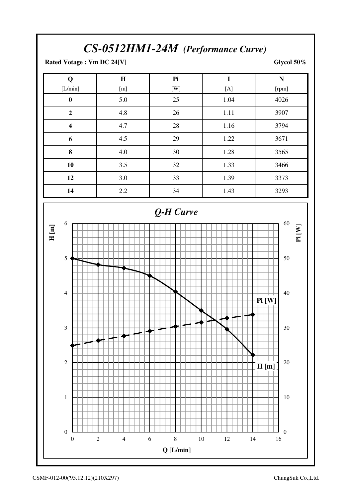### *CS-0512HM1-24M (Performance Curve)*

**Rated Votage : Vm DC 24[V] Glycol 50%** 

| Q                       | H   | Pi  | $\bf{I}$ | N     |  |  |
|-------------------------|-----|-----|----------|-------|--|--|
| [L/min]                 | [m] | [W] | [A]      | [rpm] |  |  |
| $\boldsymbol{0}$        | 5.0 | 25  | 1.04     | 4026  |  |  |
| $\overline{2}$          | 4.8 | 26  | 1.11     | 3907  |  |  |
| $\overline{\mathbf{4}}$ | 4.7 | 28  | 1.16     | 3794  |  |  |
| 6                       | 4.5 | 29  | 1.22     | 3671  |  |  |
| 8                       | 4.0 | 30  | 1.28     | 3565  |  |  |
| 10                      | 3.5 | 32  | 1.33     | 3466  |  |  |
| 12                      | 3.0 | 33  | 1.39     | 3373  |  |  |
| 14                      | 2.2 | 34  | 1.43     | 3293  |  |  |